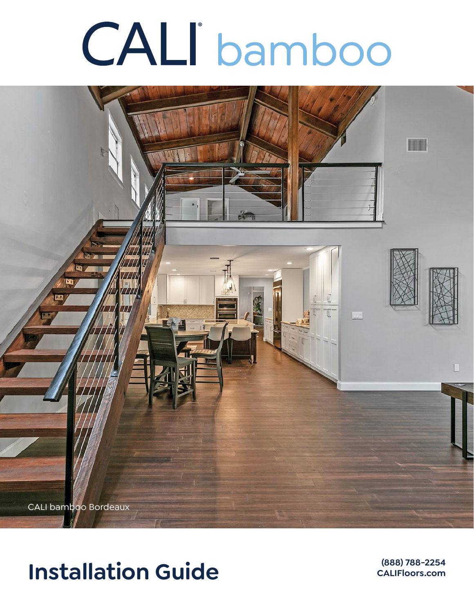# **CALI** bamboo



# **Installation Guide**

**(888) 788-2254**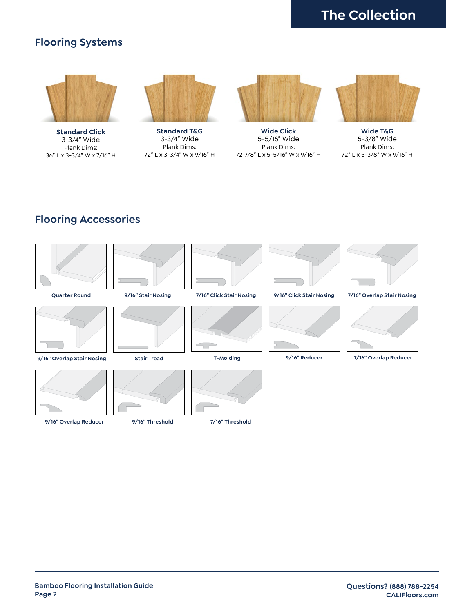# **The Collection**

## **Flooring Systems**



**Standard Click** 3-3/4" Wide Plank Dims: 36" L x 3-3/4" W x 7/16" H



**Standard T&G** 3-3/4" Wide Plank Dims: 72" L x 3-3/4" W x 9/16" H



**Wide Click** 5-5/16" Wide Plank Dims: 72-7/8" L x 5-5/16" W x 9/16" H



**Wide T&G** 5-3/8" Wide Plank Dims: 72" L x 5-3/8" W x 9/16" H

# **Flooring Accessories**

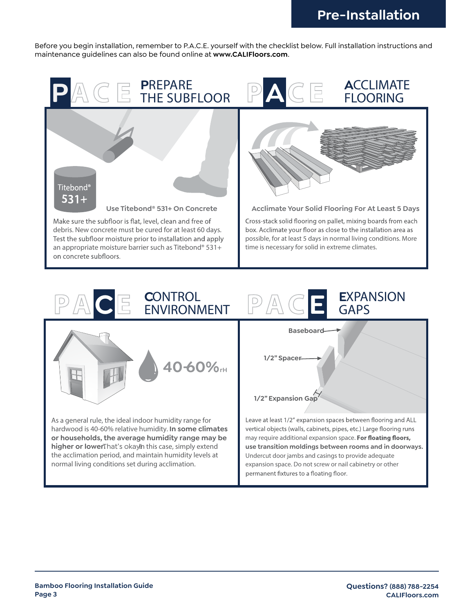Before you begin installation, remember to P.A.C.E. yourself with the checklist below. Full installation instructions and maintenance guidelines can also be found online at **www.CALIFloors.com**.



**40-60%rH**

As a general rule, the ideal indoor humidity range for hardwood is 40-60% relative humidity. **In some climates or households, the average humidity range may be higher or lowerThat's okayIn this case, simply extend** the acclimation period, and maintain humidity levels at normal living conditions set during acclimation.

# **Baseboard 1/2" Spacer 1/2" Expansion Gap** Leave at least 1/2" expansion spaces between flooring and ALL vertical objects (walls, cabinets, pipes, etc.) Large flooring runs may require additional expansion space. For floating floors,

**use transition moldings between rooms and in doorways.** Undercut door jambs and casings to provide adequate expansion space. Do not screw or nail cabinetry or other permanent fixtures to a floating floor.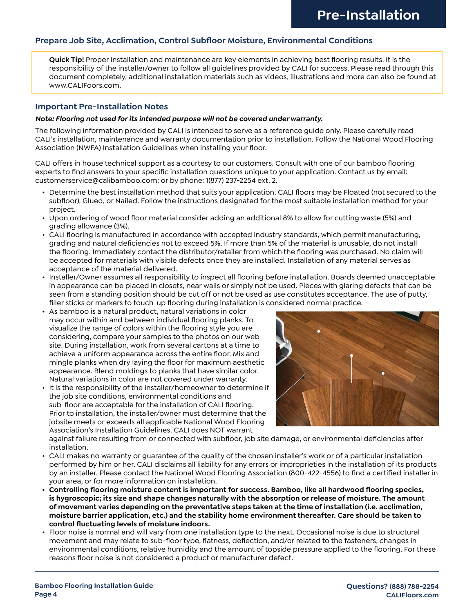#### **Prepare Job Site, Acclimation, Control Subfloor Moisture, Environmental Conditions**

**Quick Tip!** Proper installation and maintenance are key elements in achieving best flooring results. It is the responsibility of the installer/owner to follow all guidelines provided by CALI for success. Please read through this document completely, additional installation materials such as videos, illustrations and more can also be found at www.CALIFoors.com.

#### **Important Pre-Installation Notes**

#### *Note: Flooring not used for its intended purpose will not be covered under warranty.*

The following information provided by CALI is intended to serve as a reference guide only. Please carefully read CALI's installation, maintenance and warranty documentation prior to installation. Follow the National Wood Flooring Association (NWFA) Installation Guidelines when installing your floor.

CALI offers in house technical support as a courtesy to our customers. Consult with one of our bamboo flooring experts to find answers to your specific installation questions unique to your application. Contact us by email: customerservice@calibamboo.com; or by phone: 1(877) 237-2254 ext. 2.

- Determine the best installation method that suits your application. CALI floors may be Floated (not secured to the subfloor), Glued, or Nailed. Follow the instructions designated for the most suitable installation method for your project.
- Upon ordering of wood floor material consider adding an additional 8% to allow for cutting waste (5%) and grading allowance (3%).
- CALI flooring is manufactured in accordance with accepted industry standards, which permit manufacturing, grading and natural deficiencies not to exceed 5%. If more than 5% of the material is unusable, do not install the flooring. Immediately contact the distributor/retailer from which the flooring was purchased. No claim will be accepted for materials with visible defects once they are installed. Installation of any material serves as acceptance of the material delivered.
- Installer/Owner assumes all responsibility to inspect all flooring before installation. Boards deemed unacceptable in appearance can be placed in closets, near walls or simply not be used. Pieces with glaring defects that can be seen from a standing position should be cut off or not be used as use constitutes acceptance. The use of putty, filler sticks or markers to touch-up flooring during installation is considered normal practice.
- As bamboo is a natural product, natural variations in color may occur within and between individual flooring planks. To visualize the range of colors within the flooring style you are considering, compare your samples to the photos on our web site. During installation, work from several cartons at a time to achieve a uniform appearance across the entire floor. Mix and mingle planks when dry laying the floor for maximum aesthetic appearance. Blend moldings to planks that have similar color. Natural variations in color are not covered under warranty.
- It is the responsibility of the installer/homeowner to determine if the job site conditions, environmental conditions and sub-floor are acceptable for the installation of CALI flooring. Prior to installation, the installer/owner must determine that the jobsite meets or exceeds all applicable National Wood Flooring Association's Installation Guidelines. CALI does NOT warrant



against failure resulting from or connected with subfloor, job site damage, or environmental deficiencies after installation.

- CALI makes no warranty or guarantee of the quality of the chosen installer's work or of a particular installation performed by him or her. CALI disclaims all liability for any errors or improprieties in the installation of its products by an installer. Please contact the National Wood Flooring Association (800-422-4556) to find a certified installer in your area, or for more information on installation.
- **• Controlling flooring moisture content is important for success. Bamboo, like all hardwood flooring species, is hygroscopic; its size and shape changes naturally with the absorption or release of moisture. The amount of movement varies depending on the preventative steps taken at the time of installation (i.e. acclimation, moisture barrier application, etc.) and the stability home environment thereafter. Care should be taken to control fluctuating levels of moisture indoors.**
- Floor noise is normal and will vary from one installation type to the next. Occasional noise is due to structural movement and may relate to sub-floor type, flatness, deflection, and/or related to the fasteners, changes in environmental conditions, relative humidity and the amount of topside pressure applied to the flooring. For these reasons floor noise is not considered a product or manufacturer defect.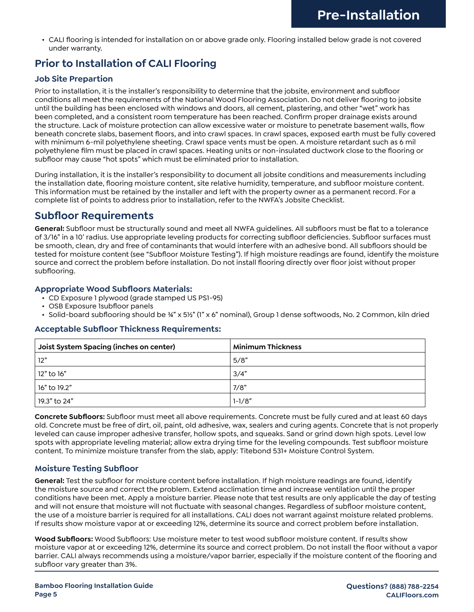• CALI flooring is intended for installation on or above grade only. Flooring installed below grade is not covered under warranty.

# **Prior to Installation of CALI Flooring**

#### **Job Site Prepartion**

Prior to installation, it is the installer's responsibility to determine that the jobsite, environment and subfloor conditions all meet the requirements of the National Wood Flooring Association. Do not deliver flooring to jobsite until the building has been enclosed with windows and doors, all cement, plastering, and other "wet" work has been completed, and a consistent room temperature has been reached. Confirm proper drainage exists around the structure. Lack of moisture protection can allow excessive water or moisture to penetrate basement walls, flow beneath concrete slabs, basement floors, and into crawl spaces. In crawl spaces, exposed earth must be fully covered with minimum 6-mil polyethylene sheeting. Crawl space vents must be open. A moisture retardant such as 6 mil polyethylene film must be placed in crawl spaces. Heating units or non-insulated ductwork close to the flooring or subfloor may cause "hot spots" which must be eliminated prior to installation.

During installation, it is the installer's responsibility to document all jobsite conditions and measurements including the installation date, flooring moisture content, site relative humidity, temperature, and subfloor moisture content. This information must be retained by the installer and left with the property owner as a permanent record. For a complete list of points to address prior to installation, refer to the NWFA's Jobsite Checklist.

## **Subfloor Requirements**

**General:** Subfloor must be structurally sound and meet all NWFA guidelines. All subfloors must be flat to a tolerance of 3/16" in a 10' radius. Use appropriate leveling products for correcting subfloor deficiencies. Subfloor surfaces must be smooth, clean, dry and free of contaminants that would interfere with an adhesive bond. All subfloors should be tested for moisture content (see "Subfloor Moisture Testing"). If high moisture readings are found, identify the moisture source and correct the problem before installation. Do not install flooring directly over floor joist without proper subflooring.

#### **Appropriate Wood Subfloors Materials:**

- CD Exposure 1 plywood (grade stamped US PS1-95)
- OSB Exposure 1subfloor panels
- Solid-board subflooring should be ¾" x 5½" (1" x 6" nominal), Group 1 dense softwoods, No. 2 Common, kiln dried

#### **Acceptable Subfloor Thickness Requirements:**

| Joist System Spacing (inches on center) | <b>Minimum Thickness</b> |  |  |  |  |  |  |  |
|-----------------------------------------|--------------------------|--|--|--|--|--|--|--|
| 12"                                     | 5/8"                     |  |  |  |  |  |  |  |
| 12" to 16"                              | 3/4"                     |  |  |  |  |  |  |  |
| $\frac{1}{2}$ 16" to 19.2"              | 7/8"                     |  |  |  |  |  |  |  |
| 19.3" to 24"                            | $1 - 1/8"$               |  |  |  |  |  |  |  |

**Concrete Subfloors:** Subfloor must meet all above requirements. Concrete must be fully cured and at least 60 days old. Concrete must be free of dirt, oil, paint, old adhesive, wax, sealers and curing agents. Concrete that is not properly leveled can cause improper adhesive transfer, hollow spots, and squeaks. Sand or grind down high spots. Level low spots with appropriate leveling material; allow extra drying time for the leveling compounds. Test subfloor moisture content. To minimize moisture transfer from the slab, apply: Titebond 531+ Moisture Control System.

#### **Moisture Testing Subfloor**

**General:** Test the subfloor for moisture content before installation. If high moisture readings are found, identify the moisture source and correct the problem. Extend acclimation time and increase ventilation until the proper conditions have been met. Apply a moisture barrier. Please note that test results are only applicable the day of testing and will not ensure that moisture will not fluctuate with seasonal changes. Regardless of subfloor moisture content, the use of a moisture barrier is required for all installations. CALI does not warrant against moisture related problems. If results show moisture vapor at or exceeding 12%, determine its source and correct problem before installation.

**Wood Subfloors:** Wood Subfloors: Use moisture meter to test wood subfloor moisture content. If results show moisture vapor at or exceeding 12%, determine its source and correct problem. Do not install the floor without a vapor barrier. CALI always recommends using a moisture/vapor barrier, especially if the moisture content of the flooring and subfloor vary greater than 3%.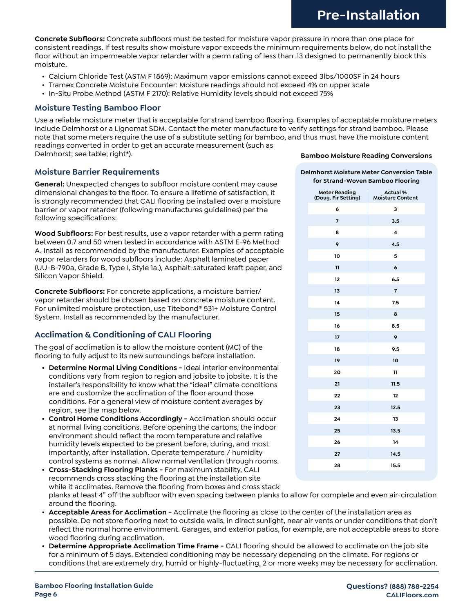**Concrete Subfloors:** Concrete subfloors must be tested for moisture vapor pressure in more than one place for consistent readings. If test results show moisture vapor exceeds the minimum requirements below, do not install the floor without an impermeable vapor retarder with a perm rating of less than .13 designed to permanently block this moisture.

- Calcium Chloride Test (ASTM F 1869): Maximum vapor emissions cannot exceed 3lbs/1000SF in 24 hours
- Tramex Concrete Moisture Encounter: Moisture readings should not exceed 4% on upper scale
- In-Situ Probe Method (ASTM F 2170): Relative Humidity levels should not exceed 75%

#### **Moisture Testing Bamboo Floor**

Use a reliable moisture meter that is acceptable for strand bamboo flooring. Examples of acceptable moisture meters include Delmhorst or a Lignomat SDM. Contact the meter manufacture to verify settings for strand bamboo. Please note that some meters require the use of a substitute setting for bamboo, and thus must have the moisture content readings converted in order to get an accurate measurement (such as Delmhorst; see table; right\*).

#### **Moisture Barrier Requirements**

**General:** Unexpected changes to subfloor moisture content may cause dimensional changes to the floor. To ensure a lifetime of satisfaction, it is strongly recommended that CALI flooring be installed over a moisture barrier or vapor retarder (following manufactures guidelines) per the following specifications:

**Wood Subfloors:** For best results, use a vapor retarder with a perm rating between 0.7 and 50 when tested in accordance with ASTM E-96 Method A. Install as recommended by the manufacturer. Examples of acceptable vapor retarders for wood subfloors include: Asphalt laminated paper (UU-B-790a, Grade B, Type I, Style 1a.), Asphalt-saturated kraft paper, and Silicon Vapor Shield.

**Concrete Subfloors:** For concrete applications, a moisture barrier/ vapor retarder should be chosen based on concrete moisture content. For unlimited moisture protection, use Titebond® 531+ Moisture Control System. Install as recommended by the manufacturer.

#### **Acclimation & Conditioning of CALI Flooring**

The goal of acclimation is to allow the moisture content (MC) of the flooring to fully adjust to its new surroundings before installation.

- **• Determine Normal Living Conditions** Ideal interior environmental conditions vary from region to region and jobsite to jobsite. It is the installer's responsibility to know what the "ideal" climate conditions are and customize the acclimation of the floor around those conditions. For a general view of moisture content averages by region, see the map below.
- **• Control Home Conditions Accordingly -** Acclimation should occur at normal living conditions. Before opening the cartons, the indoor environment should reflect the room temperature and relative humidity levels expected to be present before, during, and most importantly, after installation. Operate temperature / humidity control systems as normal. Allow normal ventilation through rooms.
- **• Cross-Stacking Flooring Planks -** For maximum stability, CALI recommends cross stacking the flooring at the installation site while it acclimates. Remove the flooring from boxes and cross stack planks at least 4" off the subfloor with even spacing between planks to allow for complete and even air-circulation around the flooring.
- **• Acceptable Areas for Acclimation** Acclimate the flooring as close to the center of the installation area as possible. Do not store flooring next to outside walls, in direct sunlight, near air vents or under conditions that don't reflect the normal home environment. Garages, and exterior patios, for example, are not acceptable areas to store wood flooring during acclimation.
- **• Determine Appropriate Acclimation Time Frame -** CALI flooring should be allowed to acclimate on the job site for a minimum of 5 days. Extended conditioning may be necessary depending on the climate. For regions or conditions that are extremely dry, humid or highly-fluctuating, 2 or more weeks may be necessary for acclimation.

#### **Bamboo Moisture Reading Conversions**

#### **Delmhorst Moisture Meter Conversion Table for Strand-Woven Bamboo Flooring**

| <b>Meter Reading</b><br>(Doug. Fir Setting) | <b>Actual %</b><br><b>Moisture Content</b> |
|---------------------------------------------|--------------------------------------------|
| 6                                           | 3                                          |
| $\overline{7}$                              | 3.5                                        |
| 8                                           | $\overline{\mathbf{4}}$                    |
| 9                                           | 4.5                                        |
| 10                                          | 5                                          |
| 11                                          | $\mathbf 6$                                |
| 12                                          | 6.5                                        |
| 13                                          | $\overline{7}$                             |
| 14                                          | 7.5                                        |
| 15                                          | 8                                          |
| 16                                          | 8.5                                        |
| 17                                          | 9                                          |
| 18                                          | 9.5                                        |
| 19                                          | 10                                         |
| 20                                          | 11                                         |
| 21                                          | 11.5                                       |
| 22                                          | 12                                         |
| 23                                          | 12.5                                       |
| 24                                          | 13                                         |
| 25                                          | 13.5                                       |
| 26                                          | 14                                         |
| 27                                          | 14.5                                       |
| 28                                          | 15.5                                       |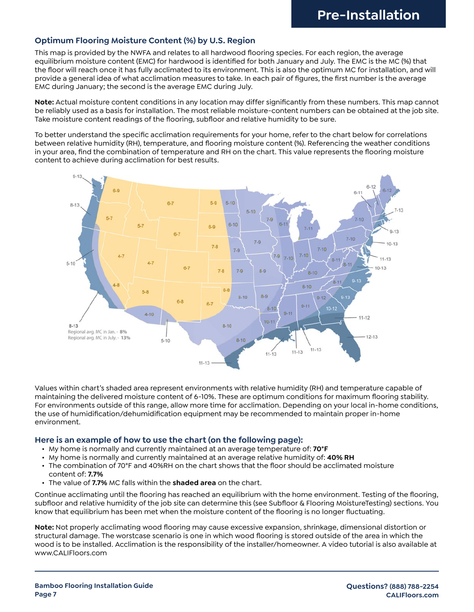#### **Optimum Flooring Moisture Content (%) by U.S. Region**

This map is provided by the NWFA and relates to all hardwood flooring species. For each region, the average equilibrium moisture content (EMC) for hardwood is identified for both January and July. The EMC is the MC (%) that the floor will reach once it has fully acclimated to its environment. This is also the optimum MC for installation, and will provide a general idea of what acclimation measures to take. In each pair of figures, the first number is the average EMC during January; the second is the average EMC during July.

**Note:** Actual moisture content conditions in any location may differ significantly from these numbers. This map cannot be reliably used as a basis for installation. The most reliable moisture-content numbers can be obtained at the job site. Take moisture content readings of the flooring, subfloor and relative humidity to be sure.

To better understand the specific acclimation requirements for your home, refer to the chart below for correlations between relative humidity (RH), temperature, and flooring moisture content (%). Referencing the weather conditions in your area, find the combination of temperature and RH on the chart. This value represents the flooring moisture content to achieve during acclimation for best results.



Values within chart's shaded area represent environments with relative humidity (RH) and temperature capable of maintaining the delivered moisture content of 6-10%. These are optimum conditions for maximum flooring stability. For environments outside of this range, allow more time for acclimation. Depending on your local in-home conditions, the use of humidification/dehumidification equipment may be recommended to maintain proper in-home environment.

#### **Here is an example of how to use the chart (on the following page):**

- My home is normally and currently maintained at an average temperature of: **70°F**
- My home is normally and currently maintained at an average relative humidity of: **40% RH**
- The combination of 70°F and 40%RH on the chart shows that the floor should be acclimated moisture content of: **7.7%**
- The value of **7.7%** MC falls within the **shaded area** on the chart.

Continue acclimating until the flooring has reached an equilibrium with the home environment. Testing of the flooring, subfloor and relative humidity of the job site can determine this (see Subfloor & Flooring MoistureTesting) sections. You know that equilibrium has been met when the moisture content of the flooring is no longer fluctuating.

**Note:** Not properly acclimating wood flooring may cause excessive expansion, shrinkage, dimensional distortion or structural damage. The worstcase scenario is one in which wood flooring is stored outside of the area in which the wood is to be installed. Acclimation is the responsibility of the installer/homeowner. A video tutorial is also available at www.CALIFloors.com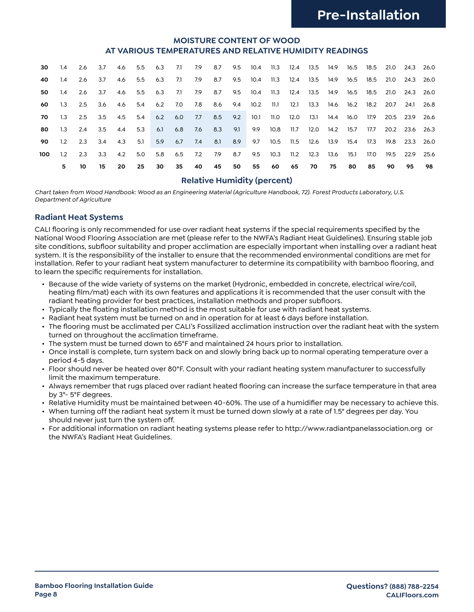#### **MOISTURE CONTENT OF WOOD AT VARIOUS TEMPERATURES AND RELATIVE HUMIDITY READINGS**

| 30  | 1.4       |                         | 2.6 3.7        |    |     |    |    |    | 4.6 5.5 6.3 7.1 7.9 8.7 9.5 10.4 11.3 12.4 13.5 14.9 16.5 18.5 21.0 24.3 26.0             |    |             |  |    |      |      |      |           |    |
|-----|-----------|-------------------------|----------------|----|-----|----|----|----|-------------------------------------------------------------------------------------------|----|-------------|--|----|------|------|------|-----------|----|
| 40  | 1.4       | -2.6                    | 3.7            |    |     |    |    |    | 4.6 5.5 6.3 7.1 7.9 8.7 9.5 10.4 11.3 12.4 13.5 14.9 16.5 18.5 21.0 24.3 26.0             |    |             |  |    |      |      |      |           |    |
| 50  | $1.4$ 2.6 |                         |                |    |     |    |    |    | 3.7 4.6 5.5 6.3 7.1 7.9 8.7 9.5 10.4 11.3 12.4 13.5 14.9 16.5 18.5 21.0 24.3 26.0         |    |             |  |    |      |      |      |           |    |
| 60  |           |                         |                |    |     |    |    |    | 1.3 2.5 3.6 4.6 5.4 6.2 7.0 7.8 8.6 9.4 10.2 11.1 12.1 13.3 14.6 16.2 18.2 20.7 24.1 26.8 |    |             |  |    |      |      |      |           |    |
| 70  |           |                         |                |    |     |    |    |    | 1.3 2.5 3.5 4.5 5.4 6.2 6.0 7.7 8.5 9.2 10.1 11.0 12.0 13.1 14.4 16.0 17.9 20.5 23.9 26.6 |    |             |  |    |      |      |      |           |    |
| 80  |           |                         |                |    |     |    |    |    | 1.3 2.4 3.5 4.4 5.3 6.1 6.8 7.6 8.3 9.1 9.9 10.8 11.7 12.0 14.2 15.7 17.7 20.2 23.6 26.3  |    |             |  |    |      |      |      |           |    |
| 90  |           | $1.2$ $2.3$ $3.4$ $4.3$ |                |    | 5.1 |    |    |    | 5.9 6.7 7.4 8.1 8.9 9.7 10.5 11.5 12.6 13.9 15.4 17.3 19.8 23.3 26.0                      |    |             |  |    |      |      |      |           |    |
| 100 |           | $1.2 \quad 2.3$         | $3.3\quad 4.2$ |    |     |    |    |    | 5.0 5.8 6.5 7.2 7.9 8.7 9.5 10.3 11.2 12.3 13.6 15.1                                      |    |             |  |    |      | 17.0 | 19.5 | 22.9 25.6 |    |
|     | 5.        | 10 I                    | 15             | 20 | 25  | 30 | 35 | 40 | 45                                                                                        | 50 | 55 60 65 70 |  | 75 | - 80 | 85   | 90   | 95        | 98 |

#### **Relative Humidity (percent)**

*Chart taken from Wood Handbook: Wood as an Engineering Material (Agriculture Handbook, 72). Forest Products Laboratory, U.S. Department of Agriculture*

#### **Radiant Heat Systems**

CALI flooring is only recommended for use over radiant heat systems if the special requirements specified by the National Wood Flooring Association are met (please refer to the NWFA's Radiant Heat Guidelines). Ensuring stable job site conditions, subfloor suitability and proper acclimation are especially important when installing over a radiant heat system. It is the responsibility of the installer to ensure that the recommended environmental conditions are met for installation. Refer to your radiant heat system manufacturer to determine its compatibility with bamboo flooring, and to learn the specific requirements for installation.

- Because of the wide variety of systems on the market (Hydronic, embedded in concrete, electrical wire/coil, heating film/mat) each with its own features and applications it is recommended that the user consult with the radiant heating provider for best practices, installation methods and proper subfloors.
- Typically the floating installation method is the most suitable for use with radiant heat systems.
- Radiant heat system must be turned on and in operation for at least 6 days before installation.
- The flooring must be acclimated per CALI's Fossilized acclimation instruction over the radiant heat with the system turned on throughout the acclimation timeframe.
- The system must be turned down to 65°F and maintained 24 hours prior to installation.
- Once install is complete, turn system back on and slowly bring back up to normal operating temperature over a period 4-5 days.
- Floor should never be heated over 80°F. Consult with your radiant heating system manufacturer to successfully limit the maximum temperature.
- Always remember that rugs placed over radiant heated flooring can increase the surface temperature in that area by 3°- 5°F degrees.
- Relative Humidity must be maintained between 40-60%. The use of a humidifier may be necessary to achieve this.
- When turning off the radiant heat system it must be turned down slowly at a rate of 1.5° degrees per day. You should never just turn the system off.
- For additional information on radiant heating systems please refer to http://www.radiantpanelassociation.org or the NWFA's Radiant Heat Guidelines.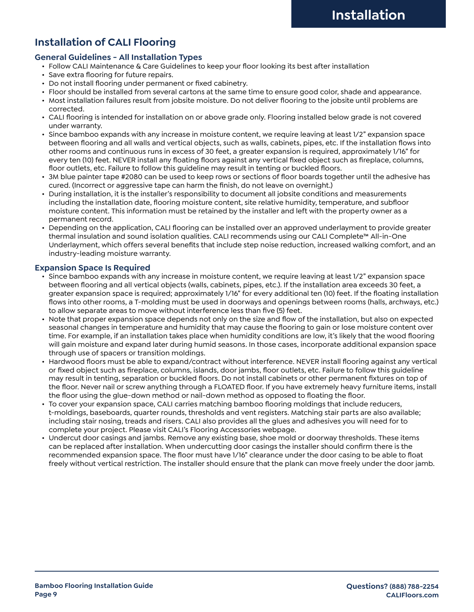# **Installation of CALI Flooring**

#### **General Guidelines - All Installation Types**

- Follow CALI Maintenance & Care Guidelines to keep your floor looking its best after installation
- Save extra flooring for future repairs.
- Do not install flooring under permanent or fixed cabinetry.
- Floor should be installed from several cartons at the same time to ensure good color, shade and appearance.
- Most installation failures result from jobsite moisture. Do not deliver flooring to the jobsite until problems are corrected.
- CALI flooring is intended for installation on or above grade only. Flooring installed below grade is not covered under warranty.
- Since bamboo expands with any increase in moisture content, we require leaving at least 1/2" expansion space between flooring and all walls and vertical objects, such as walls, cabinets, pipes, etc. If the installation flows into other rooms and continuous runs in excess of 30 feet, a greater expansion is required, approximately 1/16" for every ten (10) feet. NEVER install any floating floors against any vertical fixed object such as fireplace, columns, floor outlets, etc. Failure to follow this guideline may result in tenting or buckled floors.
- 3M blue painter tape #2080 can be used to keep rows or sections of floor boards together until the adhesive has cured. (Incorrect or aggressive tape can harm the finish, do not leave on overnight.)
- During installation, it is the installer's responsibility to document all jobsite conditions and measurements including the installation date, flooring moisture content, site relative humidity, temperature, and subfloor moisture content. This information must be retained by the installer and left with the property owner as a permanent record.
- Depending on the application, CALI flooring can be installed over an approved underlayment to provide greater thermal insulation and sound isolation qualities. CALI recommends using our CALI Complete™ All-in-One Underlayment, which offers several benefits that include step noise reduction, increased walking comfort, and an industry-leading moisture warranty.

#### **Expansion Space Is Required**

- Since bamboo expands with any increase in moisture content, we require leaving at least 1/2" expansion space between flooring and all vertical objects (walls, cabinets, pipes, etc.). If the installation area exceeds 30 feet, a greater expansion space is required; approximately 1/16" for every additional ten (10) feet. If the floating installation flows into other rooms, a T-molding must be used in doorways and openings between rooms (halls, archways, etc.) to allow separate areas to move without interference less than five (5) feet.
- Note that proper expansion space depends not only on the size and flow of the installation, but also on expected seasonal changes in temperature and humidity that may cause the flooring to gain or lose moisture content over time. For example, if an installation takes place when humidity conditions are low, it's likely that the wood flooring will gain moisture and expand later during humid seasons. In those cases, incorporate additional expansion space through use of spacers or transition moldings.
- Hardwood floors must be able to expand/contract without interference. NEVER install flooring against any vertical or fixed object such as fireplace, columns, islands, door jambs, floor outlets, etc. Failure to follow this guideline may result in tenting, separation or buckled floors. Do not install cabinets or other permanent fixtures on top of the floor. Never nail or screw anything through a FLOATED floor. If you have extremely heavy furniture items, install the floor using the glue-down method or nail-down method as opposed to floating the floor.
- To cover your expansion space, CALI carries matching bamboo flooring moldings that include reducers, t-moldings, baseboards, quarter rounds, thresholds and vent registers. Matching stair parts are also available; including stair nosing, treads and risers. CALI also provides all the glues and adhesives you will need for to complete your project. Please visit CALI's Flooring Accessories webpage.
- Undercut door casings and jambs. Remove any existing base, shoe mold or doorway thresholds. These items can be replaced after installation. When undercutting door casings the installer should confirm there is the recommended expansion space. The floor must have 1/16" clearance under the door casing to be able to float freely without vertical restriction. The installer should ensure that the plank can move freely under the door jamb.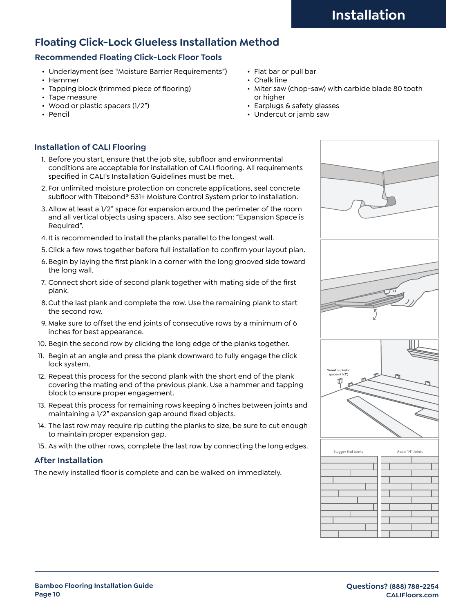# **Floating Click-Lock Glueless Installation Method**

#### **Recommended Floating Click-Lock Floor Tools**

- Underlayment (see "Moisture Barrier Requirements")
- Hammer
- Tapping block (trimmed piece of flooring)
- Tape measure
- Wood or plastic spacers (1/2")
- Pencil
- Flat bar or pull bar
- Chalk line
- Miter saw (chop-saw) with carbide blade 80 tooth or higher
- Earplugs & safety glasses
- Undercut or jamb saw

#### **Installation of CALI Flooring**

- 1. Before you start, ensure that the job site, subfloor and environmental conditions are acceptable for installation of CALI flooring. All requirements specified in CALI's Installation Guidelines must be met.
- 2. For unlimited moisture protection on concrete applications, seal concrete subfloor with Titebond® 531+ Moisture Control System prior to installation.
- 3. Allow at least a 1/2" space for expansion around the perimeter of the room and all vertical objects using spacers. Also see section: "Expansion Space is Required".
- 4. It is recommended to install the planks parallel to the longest wall.
- 5.Click a few rows together before full installation to confirm your layout plan.
- 6.Begin by laying the first plank in a corner with the long grooved side toward the long wall.
- 7. Connect short side of second plank together with mating side of the first plank.
- 8.Cut the last plank and complete the row. Use the remaining plank to start the second row.
- 9. Make sure to offset the end joints of consecutive rows by a minimum of 6 inches for best appearance.
- 10. Begin the second row by clicking the long edge of the planks together.
- 11. Begin at an angle and press the plank downward to fully engage the click lock system.
- 12. Repeat this process for the second plank with the short end of the plank covering the mating end of the previous plank. Use a hammer and tapping block to ensure proper engagement.
- 13. Repeat this process for remaining rows keeping 6 inches between joints and maintaining a 1/2" expansion gap around fixed objects.
- 14. The last row may require rip cutting the planks to size, be sure to cut enough to maintain proper expansion gap.
- 15. As with the other rows, complete the last row by connecting the long edges.

#### **After Installation**

The newly installed floor is complete and can be walked on immediately.

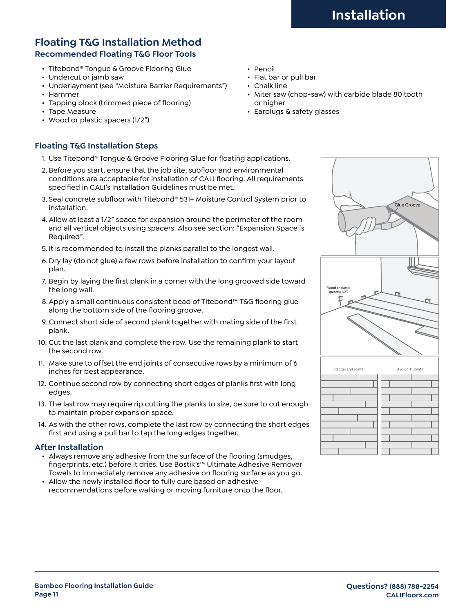## **Floating T&G Installation Method Recommended Floating T&G Floor Tools**

- Titebond® Tongue & Groove Flooring Glue
- Undercut or jamb saw
- Underlayment (see "Moisture Barrier Requirements")
- Hammer
- Tapping block (trimmed piece of flooring)
- Tape Measure
- Wood or plastic spacers (1/2")

#### **Floating T&G Installation Steps**

- 1. Use Titebond® Tongue & Groove Flooring Glue for floating applications.
- 2. Before you start, ensure that the job site, subfloor and environmental conditions are acceptable for installation of CALI flooring. All requirements specified in CALI's Installation Guidelines must be met.
- 3. Seal concrete subfloor with Titebond® 531+ Moisture Control System prior to installation.
- 4.Allow at least a 1/2" space for expansion around the perimeter of the room and all vertical objects using spacers. Also see section: "Expansion Space is Required".
- 5. It is recommended to install the planks parallel to the longest wall.
- 6. Dry lay (do not glue) a few rows before installation to confirm your layout plan.
- 7. Begin by laying the first plank in a corner with the long grooved side toward the long wall.
- 8.Apply a small continuous consistent bead of Titebond™ T&G flooring glue along the bottom side of the flooring groove.
- 9. Connect short side of second plank together with mating side of the first plank.
- 10. Cut the last plank and complete the row. Use the remaining plank to start the second row.
- 11. Make sure to offset the end joints of consecutive rows by a minimum of 6 inches for best appearance.
- 12. Continue second row by connecting short edges of planks first with long edges.
- 13. The last row may require rip cutting the planks to size, be sure to cut enough to maintain proper expansion space.
- 14. As with the other rows, complete the last row by connecting the short edges first and using a pull bar to tap the long edges together.

#### **After Installation**

- Always remove any adhesive from the surface of the flooring (smudges, fingerprints, etc.) before it dries. Use Bostik's™ Ultimate Adhesive Remover Towels to immediately remove any adhesive on flooring surface as you go.
- Allow the newly installed floor to fully cure based on adhesive recommendations before walking or moving furniture onto the floor.
- Pencil
- Flat bar or pull bar
- Chalk line
- Miter saw (chop-saw) with carbide blade 80 tooth or higher
- Earplugs & safety glasses

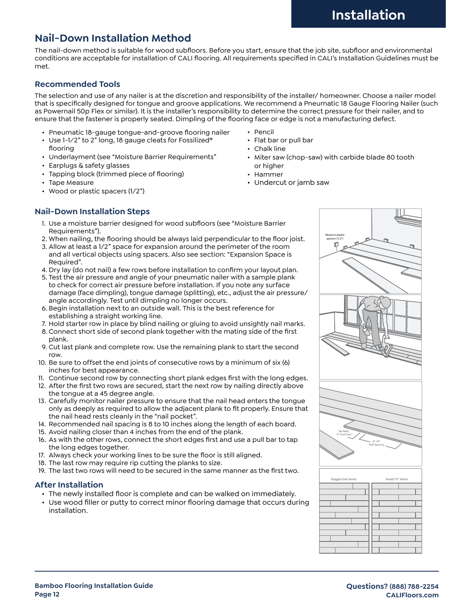# **Nail-Down Installation Method**

The nail-down method is suitable for wood subfloors. Before you start, ensure that the job site, subfloor and environmental conditions are acceptable for installation of CALI flooring. All requirements specified in CALI's Installation Guidelines must be met.

#### **Recommended Tools**

The selection and use of any nailer is at the discretion and responsibility of the installer/ homeowner. Choose a nailer model that is specifically designed for tongue and groove applications. We recommend a Pneumatic 18 Gauge Flooring Nailer (such as Powernail 50p Flex or similar). It is the installer's responsibility to determine the correct pressure for their nailer, and to ensure that the fastener is properly seated. Dimpling of the flooring face or edge is not a manufacturing defect.

- Pneumatic 18-gauge tongue-and-groove flooring nailer
- Use 1-1⁄2" to 2" long, 18 gauge cleats for Fossilized® flooring
- Underlayment (see "Moisture Barrier Requirements"
- Earplugs & safety glasses
- Tapping block (trimmed piece of flooring)
- Tape Measure
- Wood or plastic spacers (1/2")
- Pencil
	- Flat bar or pull bar
	- Chalk line
	- Miter saw (chop-saw) with carbide blade 80 tooth or higher
	- Hammer
	- Undercut or jamb saw

#### **Nail-Down Installation Steps**

- 1. Use a moisture barrier designed for wood subfloors (see "Moisture Barrier Requirements").
- 2. When nailing, the flooring should be always laid perpendicular to the floor joist.
- 3. Allow at least a 1/2" space for expansion around the perimeter of the room and all vertical objects using spacers. Also see section: "Expansion Space is Required".
- 4. Dry lay (do not nail) a few rows before installation to confirm your layout plan.
- 5. Test the air pressure and angle of your pneumatic nailer with a sample plank to check for correct air pressure before installation. If you note any surface damage (face dimpling), tongue damage (splitting), etc., adjust the air pressure/ angle accordingly. Test until dimpling no longer occurs.
- 6. Begin installation next to an outside wall. This is the best reference for establishing a straight working line.
- 7. Hold starter row in place by blind nailing or gluing to avoid unsightly nail marks.
- 8. Connect short side of second plank together with the mating side of the first plank.
- 9. Cut last plank and complete row. Use the remaining plank to start the second row.
- 10. Be sure to offset the end joints of consecutive rows by a minimum of six (6) inches for best appearance.
- 11. Continue second row by connecting short plank edges first with the long edges.
- 12. After the first two rows are secured, start the next row by nailing directly above the tongue at a 45 degree angle.
- 13. Carefully monitor nailer pressure to ensure that the nail head enters the tongue only as deeply as required to allow the adjacent plank to fit properly. Ensure that the nail head rests cleanly in the "nail pocket".
- 14. Recommended nail spacing is 8 to 10 inches along the length of each board.
- 15. Avoid nailing closer than 4 inches from the end of the plank.
- 16. As with the other rows, connect the short edges first and use a pull bar to tap the long edges together.
- 17. Always check your working lines to be sure the floor is still aligned.
- 18. The last row may require rip cutting the planks to size.
- 19. The last two rows will need to be secured in the same manner as the first two.

#### **After Installation**

- The newly installed floor is complete and can be walked on immediately.
- Use wood filler or putty to correct minor flooring damage that occurs during installation.

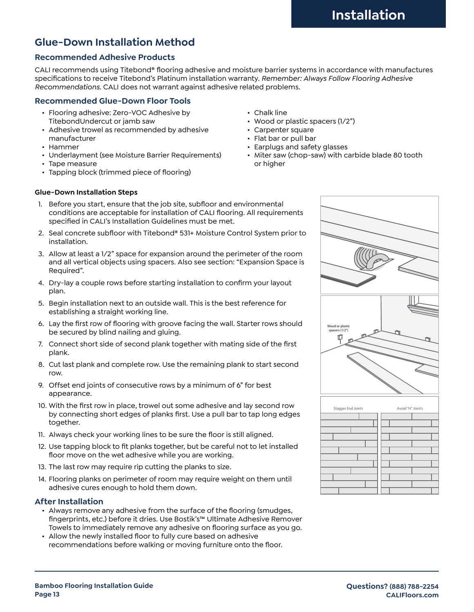# **Glue-Down Installation Method**

#### **Recommended Adhesive Products**

CALI recommends using Titebond® flooring adhesive and moisture barrier systems in accordance with manufactures specifications to receive Titebond's Platinum installation warranty. *Remember: Always Follow Flooring Adhesive Recommendations.* CALI does not warrant against adhesive related problems.

#### **Recommended Glue-Down Floor Tools**

- Flooring adhesive: Zero-VOC Adhesive by TitebondUndercut or jamb saw
- Adhesive trowel as recommended by adhesive manufacturer
- Hammer
- Underlayment (see Moisture Barrier Requirements)
- Tape measure
- Tapping block (trimmed piece of flooring)
- Chalk line
- Wood or plastic spacers (1/2")
- Carpenter square
- Flat bar or pull bar
- Earplugs and safety glasses
- Miter saw (chop-saw) with carbide blade 80 tooth or higher

#### **Glue-Down Installation Steps**

- 1. Before you start, ensure that the job site, subfloor and environmental conditions are acceptable for installation of CALI flooring. All requirements specified in CALI's Installation Guidelines must be met.
- 2. Seal concrete subfloor with Titebond® 531+ Moisture Control System prior to installation.
- 3. Allow at least a 1/2" space for expansion around the perimeter of the room and all vertical objects using spacers. Also see section: "Expansion Space is Required".
- 4. Dry-lay a couple rows before starting installation to confirm your layout plan.
- 5. Begin installation next to an outside wall. This is the best reference for establishing a straight working line.
- 6. Lay the first row of flooring with groove facing the wall. Starter rows should be secured by blind nailing and gluing.
- 7. Connect short side of second plank together with mating side of the first plank.
- 8. Cut last plank and complete row. Use the remaining plank to start second row.
- 9. Offset end joints of consecutive rows by a minimum of 6" for best appearance.
- 10. With the first row in place, trowel out some adhesive and lay second row by connecting short edges of planks first. Use a pull bar to tap long edges together.
- 11. Always check your working lines to be sure the floor is still aligned.
- 12. Use tapping block to fit planks together, but be careful not to let installed floor move on the wet adhesive while you are working.
- 13. The last row may require rip cutting the planks to size.
- 14. Flooring planks on perimeter of room may require weight on them until adhesive cures enough to hold them down.

#### **After Installation**

- Always remove any adhesive from the surface of the flooring (smudges, fingerprints, etc.) before it dries. Use Bostik's™ Ultimate Adhesive Remover Towels to immediately remove any adhesive on flooring surface as you go.
- Allow the newly installed floor to fully cure based on adhesive recommendations before walking or moving furniture onto the floor.

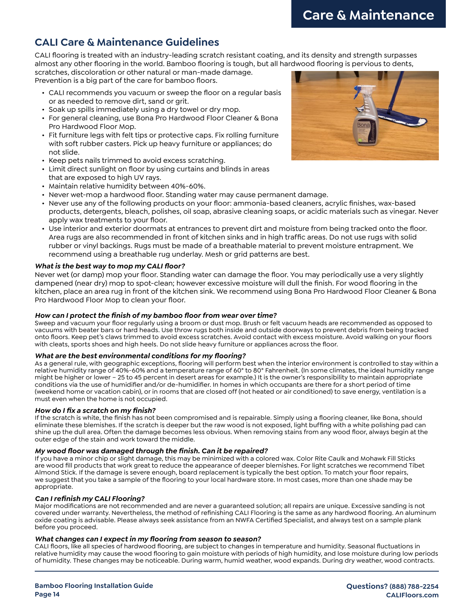# **CALI Care & Maintenance Guidelines**

CALI flooring is treated with an industry-leading scratch resistant coating, and its density and strength surpasses almost any other flooring in the world. Bamboo flooring is tough, but all hardwood flooring is pervious to dents,

scratches, discoloration or other natural or man-made damage. Prevention is a big part of the care for bamboo floors.

- CALI recommends you vacuum or sweep the floor on a regular basis or as needed to remove dirt, sand or grit.
- Soak up spills immediately using a dry towel or dry mop.
- For general cleaning, use Bona Pro Hardwood Floor Cleaner & Bona Pro Hardwood Floor Mop.
- Fit furniture legs with felt tips or protective caps. Fix rolling furniture with soft rubber casters. Pick up heavy furniture or appliances; do not slide.
- Keep pets nails trimmed to avoid excess scratching.
- Limit direct sunlight on floor by using curtains and blinds in areas that are exposed to high UV rays.
- Maintain relative humidity between 40%-60%.
- Never wet-mop a hardwood floor. Standing water may cause permanent damage.
- Never use any of the following products on your floor: ammonia-based cleaners, acrylic finishes, wax-based products, detergents, bleach, polishes, oil soap, abrasive cleaning soaps, or acidic materials such as vinegar. Never apply wax treatments to your floor.
- Use interior and exterior doormats at entrances to prevent dirt and moisture from being tracked onto the floor. Area rugs are also recommended in front of kitchen sinks and in high traffic areas. Do not use rugs with solid rubber or vinyl backings. Rugs must be made of a breathable material to prevent moisture entrapment. We recommend using a breathable rug underlay. Mesh or grid patterns are best.

#### *What is the best way to mop my CALI floor?*

Never wet (or damp) mop your floor. Standing water can damage the floor. You may periodically use a very slightly dampened (near dry) mop to spot-clean; however excessive moisture will dull the finish. For wood flooring in the kitchen, place an area rug in front of the kitchen sink. We recommend using Bona Pro Hardwood Floor Cleaner & Bona Pro Hardwood Floor Mop to clean your floor.

#### *How can I protect the finish of my bamboo floor from wear over time?*

Sweep and vacuum your floor regularly using a broom or dust mop. Brush or felt vacuum heads are recommended as opposed to vacuums with beater bars or hard heads. Use throw rugs both inside and outside doorways to prevent debris from being tracked onto floors. Keep pet's claws trimmed to avoid excess scratches. Avoid contact with excess moisture. Avoid walking on your floors with cleats, sports shoes and high heels. Do not slide heavy furniture or appliances across the floor.

#### *What are the best environmental conditions for my flooring?*

As a general rule, with geographic exceptions, flooring will perform best when the interior environment is controlled to stay within a relative humidity range of 40%-60% and a temperature range of 60° to 80° Fahrenheit. (In some climates, the ideal humidity range might be higher or lower – 25 to 45 percent in desert areas for example.) It is the owner's responsibility to maintain appropriate conditions via the use of humidifier and/or de-humidifier. In homes in which occupants are there for a short period of time (weekend home or vacation cabin), or in rooms that are closed off (not heated or air conditioned) to save energy, ventilation is a must even when the home is not occupied.

#### *How do I fix a scratch on my finish?*

If the scratch is white, the finish has not been compromised and is repairable. Simply using a flooring cleaner, like Bona, should eliminate these blemishes. If the scratch is deeper but the raw wood is not exposed, light buffing with a white polishing pad can shine up the dull area. Often the damage becomes less obvious. When removing stains from any wood floor, always begin at the outer edge of the stain and work toward the middle.

#### *My wood floor was damaged through the finish. Can it be repaired?*

If you have a minor chip or slight damage, this may be minimized with a colored wax. Color Rite Caulk and Mohawk Fill Sticks are wood fill products that work great to reduce the appearance of deeper blemishes. For light scratches we recommend Tibet Almond Stick. If the damage is severe enough, board replacement is typically the best option. To match your floor repairs, we suggest that you take a sample of the flooring to your local hardware store. In most cases, more than one shade may be appropriate.

#### *Can I refinish my CALI Flooring?*

Major modifications are not recommended and are never a guaranteed solution; all repairs are unique. Excessive sanding is not covered under warranty. Nevertheless, the method of refinishing CALI Flooring is the same as any hardwood flooring. An aluminum oxide coating is advisable. Please always seek assistance from an NWFA Certified Specialist, and always test on a sample plank before you proceed.

#### *What changes can I expect in my flooring from season to season?*

CALI floors, like all species of hardwood flooring, are subject to changes in temperature and humidity. Seasonal fluctuations in relative humidity may cause the wood flooring to gain moisture with periods of high humidity, and lose moisture during low periods of humidity. These changes may be noticeable. During warm, humid weather, wood expands. During dry weather, wood contracts.